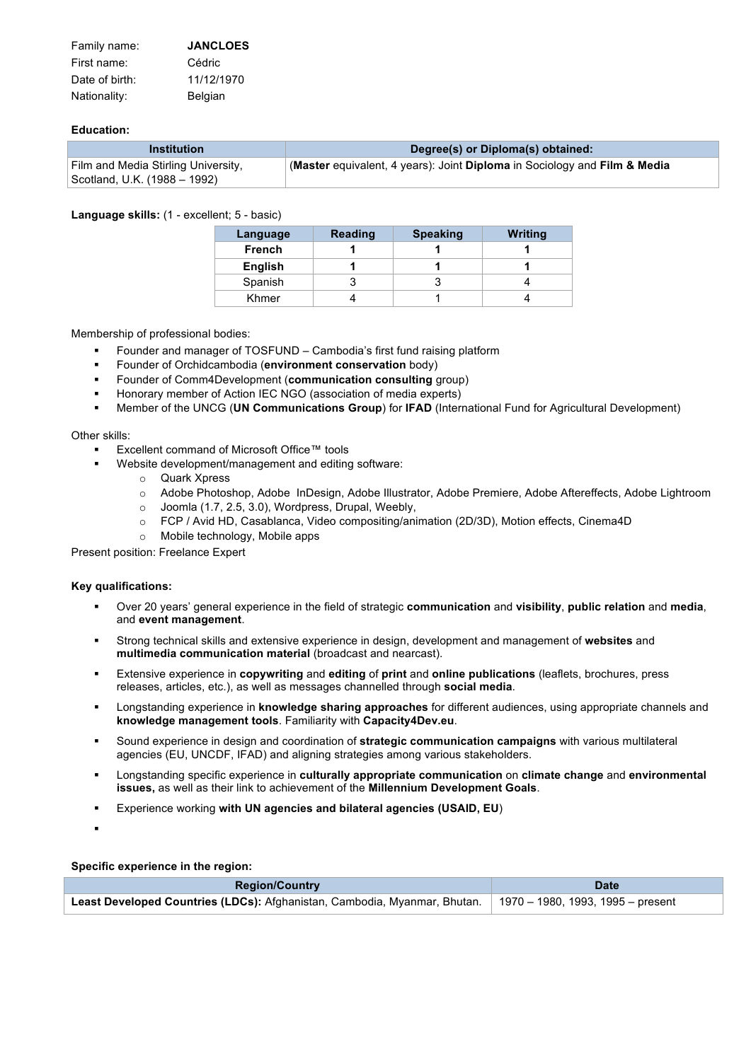| Family name:   | <b>JANCLOES</b> |
|----------------|-----------------|
| First name:    | Cédric          |
| Date of birth: | 11/12/1970      |
| Nationality:   | Belgian         |

## **Education:**

| <b>Institution</b>                                                  | Degree(s) or Diploma(s) obtained:                                         |
|---------------------------------------------------------------------|---------------------------------------------------------------------------|
| Film and Media Stirling University,<br>Scotland, U.K. (1988 – 1992) | (Master equivalent, 4 years): Joint Diploma in Sociology and Film & Media |

### **Language skills:** (1 - excellent; 5 - basic)

| Language | <b>Reading</b> | <b>Speaking</b> | Writing |
|----------|----------------|-----------------|---------|
| French   |                |                 |         |
| English  |                |                 |         |
| Spanish  |                |                 |         |
| Khmer    |                |                 |         |

Membership of professional bodies:

- § Founder and manager of TOSFUND Cambodia's first fund raising platform
- § Founder of Orchidcambodia (**environment conservation** body)
- § Founder of Comm4Development (**communication consulting** group)
- § Honorary member of Action IEC NGO (association of media experts)
- § Member of the UNCG (**UN Communications Group**) for **IFAD** (International Fund for Agricultural Development)

#### Other skills:

- Excellent command of Microsoft Office™ tools
	- Website development/management and editing software:
		- o Quark Xpress
		- o Adobe Photoshop, Adobe InDesign, Adobe Illustrator, Adobe Premiere, Adobe Aftereffects, Adobe Lightroom
		- o Joomla (1.7, 2.5, 3.0), Wordpress, Drupal, Weebly,
		- o FCP / Avid HD, Casablanca, Video compositing/animation (2D/3D), Motion effects, Cinema4D
		- o Mobile technology, Mobile apps

Present position: Freelance Expert

#### **Key qualifications:**

- § Over 20 years' general experience in the field of strategic **communication** and **visibility**, **public relation** and **media**, and **event management**.
- § Strong technical skills and extensive experience in design, development and management of **websites** and **multimedia communication material** (broadcast and nearcast).
- § Extensive experience in **copywriting** and **editing** of **print** and **online publications** (leaflets, brochures, press releases, articles, etc.), as well as messages channelled through **social media**.
- § Longstanding experience in **knowledge sharing approaches** for different audiences, using appropriate channels and **knowledge management tools**. Familiarity with **Capacity4Dev.eu**.
- § Sound experience in design and coordination of **strategic communication campaigns** with various multilateral agencies (EU, UNCDF, IFAD) and aligning strategies among various stakeholders.
- § Longstanding specific experience in **culturally appropriate communication** on **climate change** and **environmental issues,** as well as their link to achievement of the **Millennium Development Goals**.
- § Experience working **with UN agencies and bilateral agencies (USAID, EU**)
- §

**Specific experience in the region:**

| <b>Region/Country</b>                                                                                         | <b>Date</b> |  |
|---------------------------------------------------------------------------------------------------------------|-------------|--|
| Least Developed Countries (LDCs): Afghanistan, Cambodia, Myanmar, Bhutan.   1970 – 1980, 1993, 1995 – present |             |  |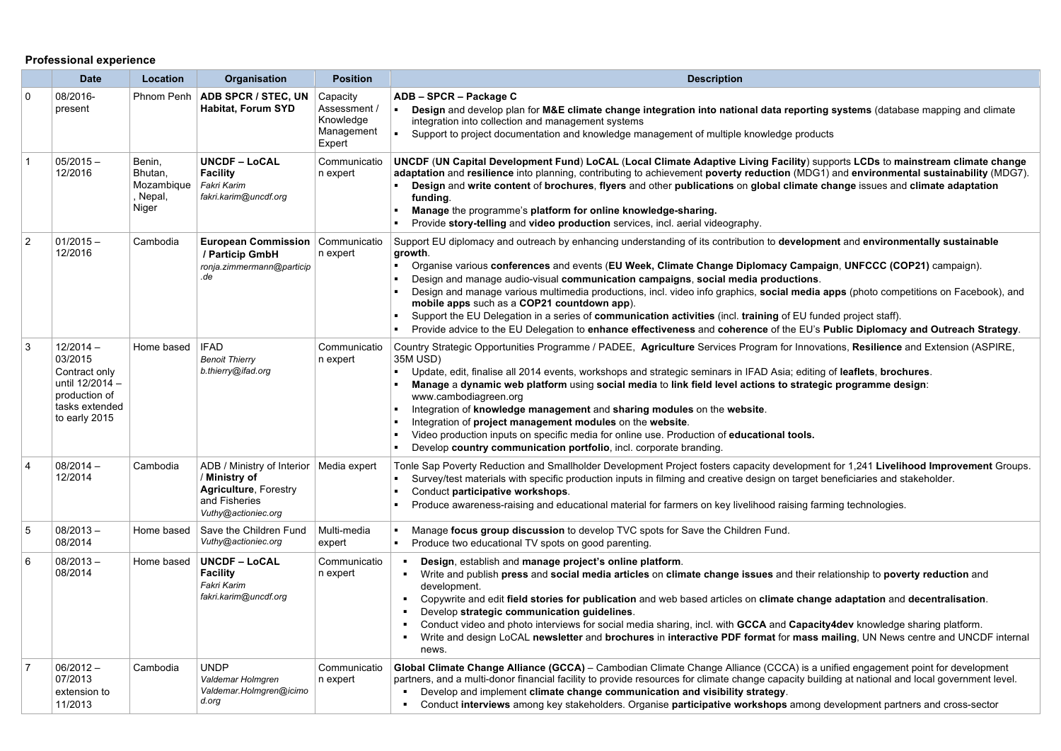# **Professional experience**

|                | <b>Date</b>                                                                                                    | Location                                           | <b>Organisation</b>                                                                                                                | <b>Position</b>                                               | <b>Description</b>                                                                                                                                                                                                                                                                                                                                                                                                                                                                                                                                                                                                                                                                                                                                                                                |
|----------------|----------------------------------------------------------------------------------------------------------------|----------------------------------------------------|------------------------------------------------------------------------------------------------------------------------------------|---------------------------------------------------------------|---------------------------------------------------------------------------------------------------------------------------------------------------------------------------------------------------------------------------------------------------------------------------------------------------------------------------------------------------------------------------------------------------------------------------------------------------------------------------------------------------------------------------------------------------------------------------------------------------------------------------------------------------------------------------------------------------------------------------------------------------------------------------------------------------|
| 0              | 08/2016-<br>present                                                                                            | Phnom Penh                                         | ADB SPCR / STEC, UN<br><b>Habitat, Forum SYD</b>                                                                                   | Capacity<br>Assessment /<br>Knowledge<br>Management<br>Expert | ADB - SPCR - Package C<br>Design and develop plan for M&E climate change integration into national data reporting systems (database mapping and climate<br>integration into collection and management systems<br>Support to project documentation and knowledge management of multiple knowledge products                                                                                                                                                                                                                                                                                                                                                                                                                                                                                         |
|                | $05/2015 -$<br>12/2016                                                                                         | Benin,<br>Bhutan,<br>Mozambique<br>Nepal,<br>Niger | <b>UNCDF – LoCAL</b><br><b>Facility</b><br>Fakri Karim<br>fakri.karim@uncdf.org                                                    | Communicatio<br>n expert                                      | UNCDF (UN Capital Development Fund) LoCAL (Local Climate Adaptive Living Facility) supports LCDs to mainstream climate change<br>adaptation and resilience into planning, contributing to achievement poverty reduction (MDG1) and environmental sustainability (MDG7).<br>Design and write content of brochures, flyers and other publications on global climate change issues and climate adaptation<br>fundina.<br>Manage the programme's platform for online knowledge-sharing.<br>Provide story-telling and video production services, incl. aerial videography.                                                                                                                                                                                                                             |
| $\overline{2}$ | $01/2015 -$<br>12/2016                                                                                         | Cambodia                                           | European Commission   Communicatio<br>/ Particip GmbH<br>ronja.zimmermann@particip<br>.de                                          | n expert                                                      | Support EU diplomacy and outreach by enhancing understanding of its contribution to development and environmentally sustainable<br>growth.<br>Organise various conferences and events (EU Week, Climate Change Diplomacy Campaign, UNFCCC (COP21) campaign).<br>٠<br>Design and manage audio-visual communication campaigns, social media productions.<br>Design and manage various multimedia productions, incl. video info graphics, social media apps (photo competitions on Facebook), and<br>mobile apps such as a COP21 countdown app).<br>Support the EU Delegation in a series of communication activities (incl. training of EU funded project staff).<br>Provide advice to the EU Delegation to enhance effectiveness and coherence of the EU's Public Diplomacy and Outreach Strategy. |
| Ι3             | $12/2014 -$<br>03/2015<br>Contract only<br>until 12/2014 -<br>production of<br>tasks extended<br>to early 2015 | Home based                                         | <b>IFAD</b><br><b>Benoit Thierry</b><br>b.thierry@ifad.org                                                                         | Communicatio<br>n expert                                      | Country Strategic Opportunities Programme / PADEE, Agriculture Services Program for Innovations, Resilience and Extension (ASPIRE,<br>35M USD)<br>Update, edit, finalise all 2014 events, workshops and strategic seminars in IFAD Asia; editing of leaflets, brochures.<br>$\blacksquare$<br>Manage a dynamic web platform using social media to link field level actions to strategic programme design:<br>www.cambodiagreen.org<br>Integration of knowledge management and sharing modules on the website.<br>Integration of project management modules on the website.<br>Video production inputs on specific media for online use. Production of educational tools.<br>Develop country communication portfolio, incl. corporate branding.                                                    |
| $\overline{4}$ | $08/2014 -$<br>12/2014                                                                                         | Cambodia                                           | ADB / Ministry of Interior   Media expert<br>/ Ministry of<br><b>Agriculture, Forestry</b><br>and Fisheries<br>Vuthy@actioniec.org |                                                               | Tonle Sap Poverty Reduction and Smallholder Development Project fosters capacity development for 1,241 Livelihood Improvement Groups.<br>Survey/test materials with specific production inputs in filming and creative design on target beneficiaries and stakeholder.<br>$\blacksquare$<br>Conduct participative workshops.<br>$\blacksquare$<br>Produce awareness-raising and educational material for farmers on key livelihood raising farming technologies.                                                                                                                                                                                                                                                                                                                                  |
| 5              | $08/2013 -$<br>08/2014                                                                                         | Home based                                         | Save the Children Fund<br>Vuthy@actioniec.org                                                                                      | Multi-media<br>expert                                         | Manage focus group discussion to develop TVC spots for Save the Children Fund.<br>Produce two educational TV spots on good parenting.<br>$\blacksquare$                                                                                                                                                                                                                                                                                                                                                                                                                                                                                                                                                                                                                                           |
| 6              | $08/2013 -$<br>08/2014                                                                                         | Home based                                         | <b>UNCDF - LoCAL</b><br><b>Facility</b><br>Fakri Karim<br>fakri.karim@uncdf.org                                                    | Communicatio<br>n expert                                      | Design, establish and manage project's online platform.<br>Write and publish press and social media articles on climate change issues and their relationship to poverty reduction and<br>٠<br>development.<br>Copywrite and edit field stories for publication and web based articles on climate change adaptation and decentralisation.<br>Develop strategic communication guidelines.<br>Conduct video and photo interviews for social media sharing, incl. with GCCA and Capacity4dev knowledge sharing platform.<br>Write and design LoCAL newsletter and brochures in interactive PDF format for mass mailing, UN News centre and UNCDF internal<br>٠<br>news.                                                                                                                               |
| 7              | $06/2012 -$<br>07/2013<br>extension to<br>11/2013                                                              | Cambodia                                           | UNDP<br>Valdemar Holmgren<br>Valdemar.Holmgren@icimo<br>d.org                                                                      | Communicatio<br>n expert                                      | Global Climate Change Alliance (GCCA) – Cambodian Climate Change Alliance (CCCA) is a unified engagement point for development<br>partners, and a multi-donor financial facility to provide resources for climate change capacity building at national and local government level.<br>Develop and implement climate change communication and visibility strategy.<br>$\blacksquare$<br>Conduct interviews among key stakeholders. Organise participative workshops among development partners and cross-sector                                                                                                                                                                                                                                                                                    |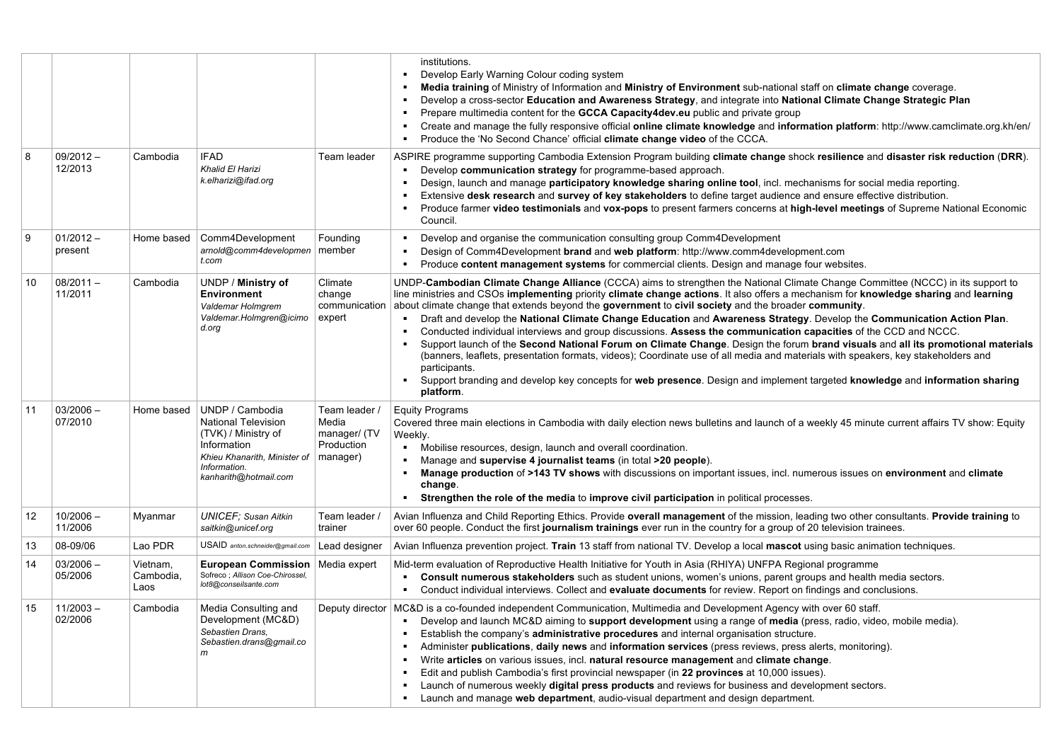|    |                        |                               |                                                                                                                                                              |                                                                  | institutions.<br>Develop Early Warning Colour coding system<br>Media training of Ministry of Information and Ministry of Environment sub-national staff on climate change coverage.<br>$\blacksquare$<br>Develop a cross-sector Education and Awareness Strategy, and integrate into National Climate Change Strategic Plan<br>$\blacksquare$<br>Prepare multimedia content for the GCCA Capacity4dev.eu public and private group<br>$\blacksquare$<br>Create and manage the fully responsive official online climate knowledge and information platform: http://www.camclimate.org.kh/en/<br>$\blacksquare$<br>Produce the 'No Second Chance' official climate change video of the CCCA.<br>$\blacksquare$                                                                                                                                                                                                                                                                                                                                                                                                           |
|----|------------------------|-------------------------------|--------------------------------------------------------------------------------------------------------------------------------------------------------------|------------------------------------------------------------------|-----------------------------------------------------------------------------------------------------------------------------------------------------------------------------------------------------------------------------------------------------------------------------------------------------------------------------------------------------------------------------------------------------------------------------------------------------------------------------------------------------------------------------------------------------------------------------------------------------------------------------------------------------------------------------------------------------------------------------------------------------------------------------------------------------------------------------------------------------------------------------------------------------------------------------------------------------------------------------------------------------------------------------------------------------------------------------------------------------------------------|
| 8  | $09/2012 -$<br>12/2013 | Cambodia                      | <b>IFAD</b><br>Khalid El Harizi<br>k.elharizi@ifad.org                                                                                                       | Team leader                                                      | ASPIRE programme supporting Cambodia Extension Program building climate change shock resilience and disaster risk reduction (DRR).<br>Develop communication strategy for programme-based approach.<br><b>A</b> 1<br>Design, launch and manage participatory knowledge sharing online tool, incl. mechanisms for social media reporting.<br>$\blacksquare$<br>Extensive desk research and survey of key stakeholders to define target audience and ensure effective distribution.<br>Produce farmer video testimonials and vox-pops to present farmers concerns at high-level meetings of Supreme National Economic<br>$\blacksquare$<br>Council.                                                                                                                                                                                                                                                                                                                                                                                                                                                                      |
| 9  | $01/2012 -$<br>present | Home based                    | Comm4Development<br>arnold@comm4developmen<br>t.com                                                                                                          | Founding<br>member                                               | Develop and organise the communication consulting group Comm4Development<br>$\blacksquare$<br>Design of Comm4Development brand and web platform: http://www.comm4development.com<br>Produce content management systems for commercial clients. Design and manage four websites.                                                                                                                                                                                                                                                                                                                                                                                                                                                                                                                                                                                                                                                                                                                                                                                                                                       |
| 10 | $08/2011 -$<br>11/2011 | Cambodia                      | UNDP / Ministry of<br><b>Environment</b><br>Valdemar Holmgrem<br>Valdemar.Holmgren@icimo<br>d.org                                                            | Climate<br>change<br>communication<br>expert                     | UNDP-Cambodian Climate Change Alliance (CCCA) aims to strengthen the National Climate Change Committee (NCCC) in its support to<br>line ministries and CSOs implementing priority climate change actions. It also offers a mechanism for knowledge sharing and learning<br>about climate change that extends beyond the government to civil society and the broader community.<br>Draft and develop the National Climate Change Education and Awareness Strategy. Develop the Communication Action Plan.<br>Conducted individual interviews and group discussions. Assess the communication capacities of the CCD and NCCC.<br>$\blacksquare$<br>Support launch of the Second National Forum on Climate Change. Design the forum brand visuals and all its promotional materials<br>$\blacksquare$<br>(banners, leaflets, presentation formats, videos); Coordinate use of all media and materials with speakers, key stakeholders and<br>participants.<br>Support branding and develop key concepts for web presence. Design and implement targeted knowledge and information sharing<br>$\blacksquare$<br>platform. |
| 11 | $03/2006 -$<br>07/2010 | Home based                    | UNDP / Cambodia<br><b>National Television</b><br>(TVK) / Ministry of<br>Information<br>Khieu Khanarith, Minister of<br>Information.<br>kanharith@hotmail.com | Team leader /<br>Media<br>manager/ (TV<br>Production<br>manager) | <b>Equity Programs</b><br>Covered three main elections in Cambodia with daily election news bulletins and launch of a weekly 45 minute current affairs TV show: Equity<br>Weekly.<br>Mobilise resources, design, launch and overall coordination.<br>$\blacksquare$<br>Manage and supervise 4 journalist teams (in total >20 people).<br>$\blacksquare$<br>Manage production of >143 TV shows with discussions on important issues, incl. numerous issues on environment and climate<br>$\blacksquare$<br>change.<br>Strengthen the role of the media to improve civil participation in political processes.                                                                                                                                                                                                                                                                                                                                                                                                                                                                                                          |
| 12 | $10/2006 -$<br>11/2006 | Myanmar                       | <b>UNICEF: Susan Aitkin</b><br>saitkin@unicef.org                                                                                                            | Team leader /<br>trainer                                         | Avian Influenza and Child Reporting Ethics. Provide overall management of the mission, leading two other consultants. Provide training to<br>over 60 people. Conduct the first journalism trainings ever run in the country for a group of 20 television trainees.                                                                                                                                                                                                                                                                                                                                                                                                                                                                                                                                                                                                                                                                                                                                                                                                                                                    |
| 13 | 08-09/06               | Lao PDR                       | USAID anton.schneider@gmail.com                                                                                                                              | Lead designer                                                    | Avian Influenza prevention project. Train 13 staff from national TV. Develop a local mascot using basic animation techniques.                                                                                                                                                                                                                                                                                                                                                                                                                                                                                                                                                                                                                                                                                                                                                                                                                                                                                                                                                                                         |
| 14 | $03/2006 -$<br>05/2006 | Vietnam,<br>Cambodia,<br>Laos | European Commission   Media expert<br>Sofreco; Allison Coe-Chirossel,<br>lot8@conseilsante.com                                                               |                                                                  | Mid-term evaluation of Reproductive Health Initiative for Youth in Asia (RHIYA) UNFPA Regional programme<br>Consult numerous stakeholders such as student unions, women's unions, parent groups and health media sectors.<br>$\blacksquare$<br>Conduct individual interviews. Collect and evaluate documents for review. Report on findings and conclusions.<br>$\mathbf{u}$ .                                                                                                                                                                                                                                                                                                                                                                                                                                                                                                                                                                                                                                                                                                                                        |
| 15 | $11/2003 -$<br>02/2006 | Cambodia                      | Media Consulting and<br>Development (MC&D)<br>Sebastien Drans,<br>Sebastien.drans@gmail.co<br>$\mathsf{m}$                                                   | Deputy director                                                  | MC&D is a co-founded independent Communication, Multimedia and Development Agency with over 60 staff.<br>Develop and launch MC&D aiming to support development using a range of media (press, radio, video, mobile media).<br>Establish the company's administrative procedures and internal organisation structure.<br>$\blacksquare$<br>Administer publications, daily news and information services (press reviews, press alerts, monitoring).<br>Write articles on various issues, incl. natural resource management and climate change.<br>$\blacksquare$<br>Edit and publish Cambodia's first provincial newspaper (in 22 provinces at 10,000 issues).<br>Launch of numerous weekly digital press products and reviews for business and development sectors.<br>Launch and manage web department, audio-visual department and design department.                                                                                                                                                                                                                                                                |